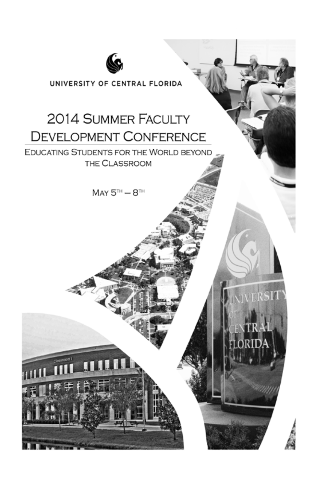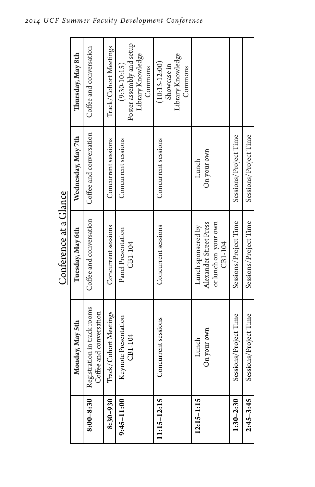|                | Monday, May 5th                                        | Tuesday, May 6th                                                                | Wednesday, May 7th      | Thursday, May 8th                                                           |
|----------------|--------------------------------------------------------|---------------------------------------------------------------------------------|-------------------------|-----------------------------------------------------------------------------|
| $8:00 - 8:30$  | Registration in track rooms<br>Coffee and conversation | Coffee and conversation                                                         | Coffee and conversation | Coffee and conversation                                                     |
| 8:30-930       | Track/Cohort Meetings                                  | Concurrent sessions                                                             | Concurrent sessions     | Track/Cohort Meetings                                                       |
| $9:45 - 11:00$ | Keynote Presentation<br>CB1-104                        | Panel Presentation<br>CB1-104                                                   | Concurrent sessions     | Poster assembly and setup<br>Library Knowledge<br>$(9:30-10:15)$<br>Commons |
| 11:15-12:15    | Concurrent sessions                                    | Concurrent sessions                                                             | Concurrent sessions     | Library Knowledge<br>$(10:15-12:00)$<br>Showcase in<br>Commons              |
| $12:15 - 1:15$ | On your own<br>Lunch                                   | Alexander Street Press<br>or lunch on your own<br>Lunch sponsered by<br>CB1-104 | On your own<br>Lunch    |                                                                             |
| $1:30 - 2:30$  | Sessions/Project Time                                  | Sessions/Project Time                                                           | Sessions/Project Time   |                                                                             |
| $2:45 - 3:45$  | Sessions/Project Time                                  | Sessions/Project Time                                                           | Sessions/Project Time   |                                                                             |

Conference at a Glance Conference at a Glance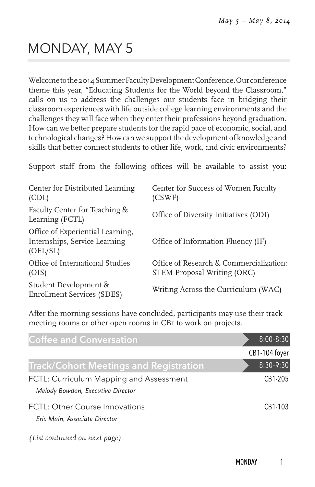# MONDAY, MAY 5

Welcome to the 2014 Summer Faculty Development Conference. Our conference theme this year, "Educating Students for the World beyond the Classroom," calls on us to address the challenges our students face in bridging their classroom experiences with life outside college learning environments and the challenges they will face when they enter their professions beyond graduation. How can we better prepare students for the rapid pace of economic, social, and technological changes? How can we support the development of knowledge and skills that better connect students to other life, work, and civic environments?

Support staff from the following offices will be available to assist you:

| Center for Distributed Learning<br>(CDL)                                      | Center for Success of Women Faculty<br>(CSWF)                                 |
|-------------------------------------------------------------------------------|-------------------------------------------------------------------------------|
| Faculty Center for Teaching &<br>Learning (FCTL)                              | Office of Diversity Initiatives (ODI)                                         |
| Office of Experiential Learning,<br>Internships, Service Learning<br>(OEL/SL) | Office of Information Fluency (IF)                                            |
| Office of International Studies<br>(OIS)                                      | Office of Research & Commercialization:<br><b>STEM Proposal Writing (ORC)</b> |
| Student Development &<br><b>Enrollment Services (SDES)</b>                    | Writing Across the Curriculum (WAC)                                           |

After the morning sessions have concluded, participants may use their track meeting rooms or other open rooms in CB1 to work on projects.

| <b>Coffee and Conversation</b>                                               | $8:00 - 8:30$ |
|------------------------------------------------------------------------------|---------------|
|                                                                              | CB1-104 foyer |
| <b>Track/Cohort Meetings and Registration</b>                                | $8:30 - 9:30$ |
| FCTL: Curriculum Mapping and Assessment<br>Melody Bowdon, Executive Director | CB1-205       |
| FCTL: Other Course Innovations<br>Eric Main, Associate Director              | CB1-103       |
| (List continued on next page)                                                |               |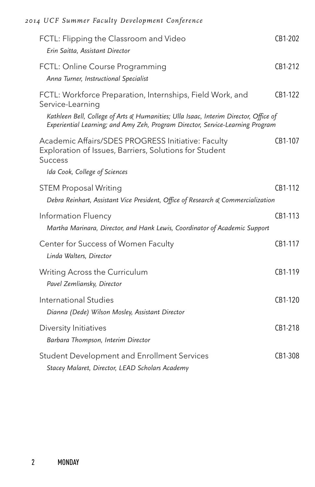| FCTL: Flipping the Classroom and Video<br>Erin Saitta, Assistant Director                                                                                                                                                                               | CB1-202   |
|---------------------------------------------------------------------------------------------------------------------------------------------------------------------------------------------------------------------------------------------------------|-----------|
| FCTL: Online Course Programming<br>Anna Turner, Instructional Specialist                                                                                                                                                                                | CB1-212   |
| FCTL: Workforce Preparation, Internships, Field Work, and<br>Service-Learning<br>Kathleen Bell, College of Arts & Humanities; Ulla Isaac, Interim Director, Office of<br>Experiential Learning; and Amy Zeh, Program Director, Service-Learning Program | CB1-122   |
| Academic Affairs/SDES PROGRESS Initiative: Faculty<br>Exploration of Issues, Barriers, Solutions for Student<br><b>Success</b>                                                                                                                          | CB1-107   |
| Ida Cook, College of Sciences                                                                                                                                                                                                                           |           |
| <b>STEM Proposal Writing</b><br>Debra Reinhart, Assistant Vice President, Office of Research & Commercialization                                                                                                                                        | CB1-112   |
| Information Fluency<br>Martha Marinara, Director, and Hank Lewis, Coordinator of Academic Support                                                                                                                                                       | CB1-113   |
| Center for Success of Women Faculty<br>Linda Walters, Director                                                                                                                                                                                          | CB1-117   |
| Writing Across the Curriculum<br>Pavel Zemliansky, Director                                                                                                                                                                                             | CB1-119   |
| International Studies<br>Dianna (Dede) Wilson Mosley, Assistant Director                                                                                                                                                                                | $CR1-120$ |
| Diversity Initiatives<br>Barbara Thompson, Interim Director                                                                                                                                                                                             | CB1-218   |
| Student Development and Enrollment Services<br>Stacey Malaret, Director, LEAD Scholars Academy                                                                                                                                                          | CB1-308   |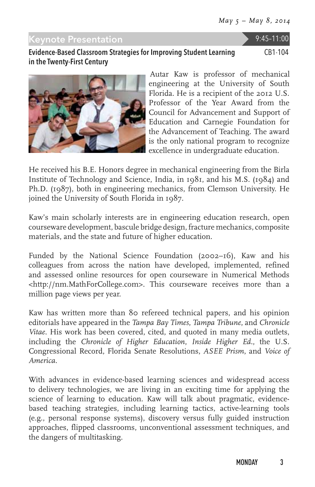#### Keynote Presentation 9:45–11:00

#### Evidence-Based Classroom Strategies for Improving Student Learning in the Twenty-First Century

CB1-104



Autar Kaw is professor of mechanical engineering at the University of South Florida. He is a recipient of the 2012 U.S. Professor of the Year Award from the Council for Advancement and Support of Education and Carnegie Foundation for the Advancement of Teaching. The award is the only national program to recognize excellence in undergraduate education.

He received his B.E. Honors degree in mechanical engineering from the Birla Institute of Technology and Science, India, in 1981, and his M.S. (1984) and Ph.D. (1987), both in engineering mechanics, from Clemson University. He joined the University of South Florida in 1987.

Kaw's main scholarly interests are in engineering education research, open courseware development, bascule bridge design, fracture mechanics, composite materials, and the state and future of higher education.

Funded by the National Science Foundation (2002–16), Kaw and his colleagues from across the nation have developed, implemented, refined and assessed online resources for open courseware in Numerical Methods <http://nm.MathForCollege.com>. This courseware receives more than a million page views per year.

Kaw has written more than 80 refereed technical papers, and his opinion editorials have appeared in the *Tampa Bay Times*, *Tampa Tribune*, and *Chronicle Vitae*. His work has been covered, cited, and quoted in many media outlets, including the *Chronicle of Higher Education*, *Inside Higher Ed.*, the U.S. Congressional Record, Florida Senate Resolutions, *ASEE Prism*, and *Voice of America*.

With advances in evidence-based learning sciences and widespread access to delivery technologies, we are living in an exciting time for applying the science of learning to education. Kaw will talk about pragmatic, evidencebased teaching strategies, including learning tactics, active-learning tools (e.g., personal response systems), discovery versus fully guided instruction approaches, flipped classrooms, unconventional assessment techniques, and the dangers of multitasking.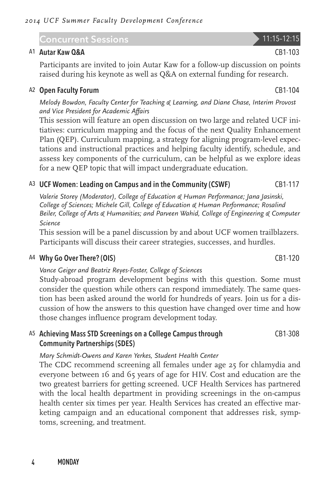## Concurrent Sessions 11:15–12:15

#### A1 Autar Kaw Q&A CB1-103

Participants are invited to join Autar Kaw for a follow-up discussion on points raised during his keynote as well as Q&A on external funding for research.

#### A<sub>2</sub> Open Faculty Forum **CB1-104** CB1-104

*Melody Bowdon, Faculty Center for Teaching & Learning, and Diane Chase, Interim Provost and Vice President for Academic Affairs*

This session will feature an open discussion on two large and related UCF initiatives: curriculum mapping and the focus of the next Quality Enhancement Plan (QEP). Curriculum mapping, a strategy for aligning program-level expectations and instructional practices and helping faculty identify, schedule, and assess key components of the curriculum, can be helpful as we explore ideas for a new QEP topic that will impact undergraduate education.

#### A3 UCF Women: Leading on Campus and in the Community (CSWF) CB1-117

*Valerie Storey (Moderator), College of Education & Human Performance; Jana Jasinski, College of Sciences; Michele Gill, College of Education & Human Performance; Rosalind Beiler, College of Arts & Humanities; and Parveen Wahid, College of Engineering & Computer Science*

This session will be a panel discussion by and about UCF women trailblazers. Participants will discuss their career strategies, successes, and hurdles.

#### A4 Why Go Over There? (OIS) CB1-120

*Vance Geiger and Beatriz Reyes-Foster, College of Sciences*

Study-abroad program development begins with this question. Some must consider the question while others can respond immediately. The same question has been asked around the world for hundreds of years. Join us for a discussion of how the answers to this question have changed over time and how those changes influence program development today.

#### A5 Achieving Mass STD Screenings on a College Campus through Community Partnerships (SDES) CB1-308

#### *Mary Schmidt-Owens and Karen Yerkes, Student Health Center*

The CDC recommend screening all females under age 25 for chlamydia and everyone between 16 and 65 years of age for HIV. Cost and education are the two greatest barriers for getting screened. UCF Health Services has partnered with the local health department in providing screenings in the on-campus health center six times per year. Health Services has created an effective marketing campaign and an educational component that addresses risk, symptoms, screening, and treatment.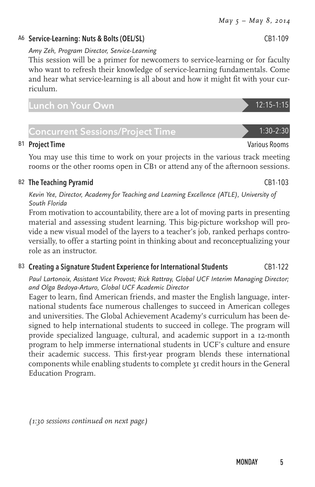# A6 Service-Learning: Nuts & Bolts (OEL/SL) CB1-109

#### *Amy Zeh, Program Director, Service-Learning*

This session will be a primer for newcomers to service-learning or for faculty who want to refresh their knowledge of service-learning fundamentals. Come and hear what service-learning is all about and how it might fit with your curriculum.

## Lunch on Your Own 12:15–1:15

# Concurrent Sessions/Project Time 2012 1:30-2:30

#### B1 Project Time Various Rooms and the Various Rooms of the Various Rooms of the Various Rooms of the Various Rooms of the Various Rooms of the Various Rooms of the Various Rooms of the Various Rooms of the Various Rooms of

You may use this time to work on your projects in the various track meeting rooms or the other rooms open in CB1 or attend any of the afternoon sessions.

## B<sub>2</sub> The Teaching Pyramid CB1-103

*Kevin Yee, Director, Academy for Teaching and Learning Excellence (ATLE), University of South Florida*

From motivation to accountability, there are a lot of moving parts in presenting material and assessing student learning. This big-picture workshop will provide a new visual model of the layers to a teacher's job, ranked perhaps controversially, to offer a starting point in thinking about and reconceptualizing your role as an instructor.

## B3 Creating a Signature Student Experience for International Students CB1-122

*Paul Lartonoix, Assistant Vice Provost; Rick Rattray, Global UCF Interim Managing Director; and Olga Bedoya-Arturo, Global UCF Academic Director*

Eager to learn, find American friends, and master the English language, international students face numerous challenges to succeed in American colleges and universities. The Global Achievement Academy's curriculum has been designed to help international students to succeed in college. The program will provide specialized language, cultural, and academic support in a 12-month program to help immerse international students in UCF's culture and ensure their academic success. This first-year program blends these international components while enabling students to complete 31 credit hours in the General Education Program.

*(1:30 sessions continued on next page)*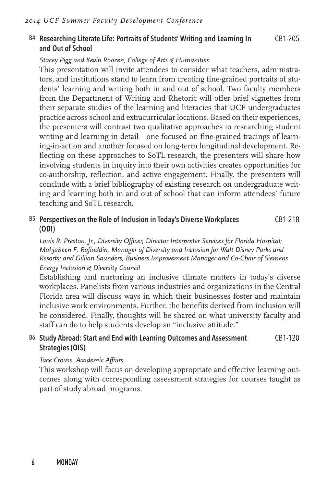#### B4 Researching Literate Life: Portraits of Students' Writing and Learning In and Out of School CB1-205

#### *Stacey Pigg and Kevin Roozen, College of Arts & Humanities*

This presentation will invite attendees to consider what teachers, administrators, and institutions stand to learn from creating fine-grained portraits of students' learning and writing both in and out of school. Two faculty members from the Department of Writing and Rhetoric will offer brief vignettes from their separate studies of the learning and literacies that UCF undergraduates practice across school and extracurricular locations. Based on their experiences, the presenters will contrast two qualitative approaches to researching student writing and learning in detail—one focused on fine-grained tracings of learning-in-action and another focused on long-term longitudinal development. Reflecting on these approaches to SoTL research, the presenters will share how involving students in inquiry into their own activities creates opportunities for co-authorship, reflection, and active engagement. Finally, the presenters will conclude with a brief bibliography of existing research on undergraduate writing and learning both in and out of school that can inform attendees' future teaching and SoTL research.

#### B5 Perspectives on the Role of Inclusion in Today's Diverse Workplaces (ODI) CB1-218

*Louis R. Preston, Jr., Diversity Officer, Director Interpreter Services for Florida Hospital; Mahjabeen F. Rafiuddin, Manager of Diversity and Inclusion for Walt Disney Parks and Resorts; and Gillian Saunders, Business Improvement Manager and Co-Chair of Siemens Energy Inclusion & Diversity Council*

Establishing and nurturing an inclusive climate matters in today's diverse workplaces. Panelists from various industries and organizations in the Central Florida area will discuss ways in which their businesses foster and maintain inclusive work environments. Further, the benefits derived from inclusion will be considered. Finally, thoughts will be shared on what university faculty and staff can do to help students develop an "inclusive attitude."

#### B6 Study Abroad: Start and End with Learning Outcomes and Assessment Strategies (OIS) CB1-120

#### *Tace Crouse, Academic Affairs*

This workshop will focus on developing appropriate and effective learning outcomes along with corresponding assessment strategies for courses taught as part of study abroad programs.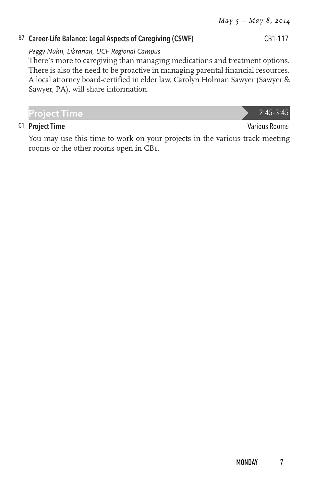#### B7 Career-Life Balance: Legal Aspects of Caregiving (CSWF) CB1-117

#### *Peggy Nuhn, Librarian, UCF Regional Campus*

There's more to caregiving than managing medications and treatment options. There is also the need to be proactive in managing parental financial resources. A local attorney board-certified in elder law, Carolyn Holman Sawyer (Sawyer & Sawyer, PA), will share information.

You may use this time to work on your projects in the various track meeting rooms or the other rooms open in CB1.

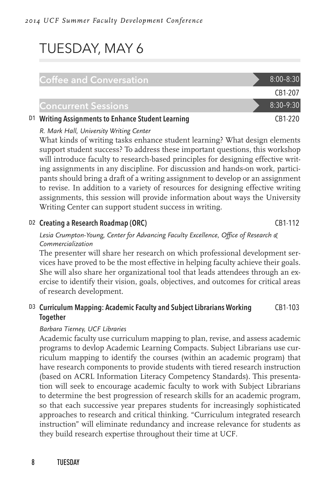# TUESDAY, MAY 6

#### Coffee and Conversation 8:00-8:30

#### Concurrent Sessions 8:30-9:30

#### D1 Writing Assignments to Enhance Student Learning CB1-220

#### *R. Mark Hall, University Writing Center*

What kinds of writing tasks enhance student learning? What design elements support student success? To address these important questions, this workshop will introduce faculty to research-based principles for designing effective writing assignments in any discipline. For discussion and hands-on work, participants should bring a draft of a writing assignment to develop or an assignment to revise. In addition to a variety of resources for designing effective writing assignments, this session will provide information about ways the University Writing Center can support student success in writing.

#### D<sub>2</sub> Creating a Research Roadmap (ORC) CB1-112

#### *Lesia Crumpton-Young, Center for Advancing Faculty Excellence, Office of Research & Commercialization*

The presenter will share her research on which professional development services have proved to be the most effective in helping faculty achieve their goals. She will also share her organizational tool that leads attendees through an exercise to identify their vision, goals, objectives, and outcomes for critical areas of research development.

#### D3 Curriculum Mapping: Academic Faculty and Subject Librarians Working Together CB1-103

#### *Barbara Tierney, UCF Libraries*

Academic faculty use curriculum mapping to plan, revise, and assess academic programs to devlop Academic Learning Compacts. Subject Librarians use curriculum mapping to identify the courses (within an academic program) that have research components to provide students with tiered research instruction (based on ACRL Information Literacy Competency Standards). This presentation will seek to encourage academic faculty to work with Subject Librarians to determine the best progression of research skills for an academic program, so that each successive year prepares students for increasingly sophisticated approaches to research and critical thinking. "Curriculum integrated research instruction" will eliminate redundancy and increase relevance for students as they build research expertise throughout their time at UCF.

CB1-207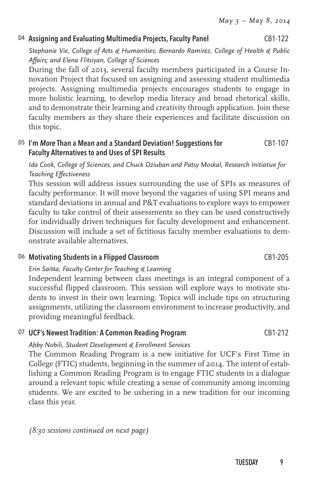#### D4 Assigning and Evaluating Multimedia Projects, Faculty Panel CB1-122

*Stephanie Vie, College of Arts & Humanities; Bernardo Ramirez, College of Health & Public Affairs; and Elena Flitsiyan, College of Sciences*

During the fall of 2013, several faculty members participated in a Course Innovation Project that focused on assigning and assessing student multimedia projects. Assigning multimedia projects encourages students to engage in more holistic learning, to develop media literacy and broad rhetorical skills, and to demonstrate their learning and creativity through application. Join these faculty members as they share their experiences and facilitate discussion on this topic.

#### D5 I'm *More* Than a Mean and a Standard Deviation! Suggestions for Faculty Alternatives to and Uses of SPI Results CB1-107

*Ida Cook, College of Sciences, and Chuck Dziuban and Patsy Moskal, Research Initiative for Teaching Effectiveness*

This session will address issues surrounding the use of SPIs as measures of faculty performance. It will move beyond the vagaries of using SPI means and standard deviations in annual and P&T evaluations to explore ways to empower faculty to take control of their assessments so they can be used constructively for individually driven techniques for faculty development and enhancement. Discussion will include a set of fictitious faculty member evaluations to demonstrate available alternatives.

#### D6 Motivating Students in a Flipped Classroom CB1-205

#### *Erin Saitta, Faculty Center for Teaching & Learning*

Independent learning between class meetings is an integral component of a successful flipped classroom. This session will explore ways to motivate students to invest in their own learning. Topics will include tips on structuring assignments, utilizing the classroom environment to increase productivity, and providing meaningful feedback.

#### D7 UCF's Newest Tradition: A Common Reading Program CB1-212

#### *Abby Nobili, Student Development & Enrollment Services*

The Common Reading Program is a new initiative for UCF's First Time in College (FTIC) students, beginning in the summer of 2014. The intent of establishing a Common Reading Program is to engage FTIC students in a dialogue around a relevant topic while creating a sense of community among incoming students. We are excited to be ushering in a new tradition for our incoming class this year.

#### *(8:30 sessions continued on next page)*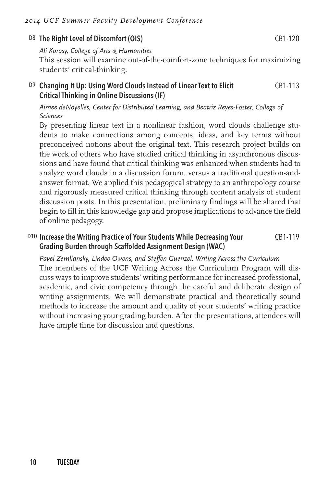#### D8 The Right Level of Discomfort (OIS) CB1-120

*Ali Korosy, College of Arts & Humanities* This session will examine out-of-the-comfort-zone techniques for maximizing students' critical-thinking.

#### D9 Changing It Up: Using Word Clouds Instead of Linear Text to Elicit Critical Thinking in Online Discussions (IF) CB1-113

*Aimee deNoyelles, Center for Distributed Learning, and Beatriz Reyes-Foster, College of Sciences*

By presenting linear text in a nonlinear fashion, word clouds challenge students to make connections among concepts, ideas, and key terms without preconceived notions about the original text. This research project builds on the work of others who have studied critical thinking in asynchronous discussions and have found that critical thinking was enhanced when students had to analyze word clouds in a discussion forum, versus a traditional question-andanswer format. We applied this pedagogical strategy to an anthropology course and rigorously measured critical thinking through content analysis of student discussion posts. In this presentation, preliminary findings will be shared that begin to fill in this knowledge gap and propose implications to advance the field of online pedagogy.

#### D10 Increase the Writing Practice of Your Students While Decreasing Your Grading Burden through Scaffolded Assignment Design (WAC) CB1-119

*Pavel Zemliansky, Lindee Owens, and Steffen Guenzel, Writing Across the Curriculum* The members of the UCF Writing Across the Curriculum Program will discuss ways to improve students' writing performance for increased professional, academic, and civic competency through the careful and deliberate design of writing assignments. We will demonstrate practical and theoretically sound methods to increase the amount and quality of your students' writing practice without increasing your grading burden. After the presentations, attendees will have ample time for discussion and questions.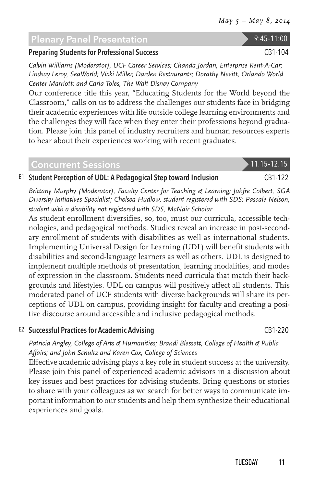## Plenary Panel Presentation 9:45-11:00

#### Preparing Students for Professional Success CB1-104

*Calvin Williams (Moderator), UCF Career Services; Chanda Jordan, Enterprise Rent-A-Car; Lindsay Leroy, SeaWorld; Vicki Miller, Darden Restaurants; Dorathy Nevitt, Orlando World Center Marriott; and Carla Toles, The Walt Disney Company*

Our conference title this year, "Educating Students for the World beyond the Classroom," calls on us to address the challenges our students face in bridging their academic experiences with life outside college learning environments and the challenges they will face when they enter their professions beyond graduation. Please join this panel of industry recruiters and human resources experts to hear about their experiences working with recent graduates.

## Concurrent Sessions 11:15-12:15

#### E1 Student Perception of UDL: A Pedagogical Step toward Inclusion CB1-122

*Brittany Murphy (Moderator), Faculty Center for Teaching & Learning; Jahfre Colbert, SGA Diversity Initiatives Specialist; Chelsea Hudlow, student registered with SDS; Pascale Nelson, student with a disability not registered with SDS, McNair Scholar*

As student enrollment diversifies, so, too, must our curricula, accessible technologies, and pedagogical methods. Studies reveal an increase in post-secondary enrollment of students with disabilities as well as international students. Implementing Universal Design for Learning (UDL) will benefit students with disabilities and second-language learners as well as others. UDL is designed to implement multiple methods of presentation, learning modalities, and modes of expression in the classroom. Students need curricula that match their backgrounds and lifestyles. UDL on campus will positively affect all students. This moderated panel of UCF students with diverse backgrounds will share its perceptions of UDL on campus, providing insight for faculty and creating a positive discourse around accessible and inclusive pedagogical methods.

#### E2 Successful Practices for Academic Advising CB1-220

*Patricia Angley, College of Arts & Humanities; Brandi Blessett, College of Health & Public Affairs; and John Schultz and Karen Cox, College of Sciences*

Effective academic advising plays a key role in student success at the university. Please join this panel of experienced academic advisors in a discussion about key issues and best practices for advising students. Bring questions or stories to share with your colleagues as we search for better ways to communicate important information to our students and help them synthesize their educational experiences and goals.

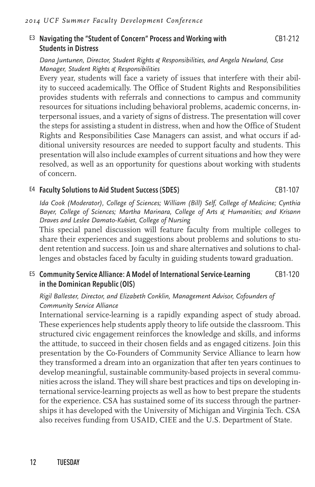#### E3 Navigating the "Student of Concern" Process and Working with Students in Distress

#### *Dana Juntunen, Director, Student Rights & Responsibilities, and Angela Newland, Case Manager, Student Rights & Responsibilities*

Every year, students will face a variety of issues that interfere with their ability to succeed academically. The Office of Student Rights and Responsibilities provides students with referrals and connections to campus and community resources for situations including behavioral problems, academic concerns, interpersonal issues, and a variety of signs of distress. The presentation will cover the steps for assisting a student in distress, when and how the Office of Student Rights and Responsibilities Case Managers can assist, and what occurs if additional university resources are needed to support faculty and students. This presentation will also include examples of current situations and how they were resolved, as well as an opportunity for questions about working with students of concern.

#### E4 Faculty Solutions to Aid Student Success (SDES) CB1-107

*Ida Cook (Moderator), College of Sciences; William (Bill) Self, College of Medicine; Cynthia Bayer, College of Sciences; Martha Marinara, College of Arts & Humanities; and Krisann Draves and Leslee Damato-Kubiet, College of Nursing*

This special panel discussion will feature faculty from multiple colleges to share their experiences and suggestions about problems and solutions to student retention and success. Join us and share alternatives and solutions to challenges and obstacles faced by faculty in guiding students toward graduation.

#### E5 Community Service Alliance: A Model of International Service-Learning in the Dominican Republic (OIS) CB1-120

#### *Rigil Ballester, Director, and Elizabeth Conklin, Management Advisor, Cofounders of Community Service Alliance*

International service-learning is a rapidly expanding aspect of study abroad. These experiences help students apply theory to life outside the classroom. This structured civic engagement reinforces the knowledge and skills, and informs the attitude, to succeed in their chosen fields and as engaged citizens. Join this presentation by the Co-Founders of Community Service Alliance to learn how they transformed a dream into an organization that after ten years continues to develop meaningful, sustainable community-based projects in several communities across the island. They will share best practices and tips on developing international service-learning projects as well as how to best prepare the students for the experience. CSA has sustained some of its success through the partnerships it has developed with the University of Michigan and Virginia Tech. CSA also receives funding from USAID, CIEE and the U.S. Department of State.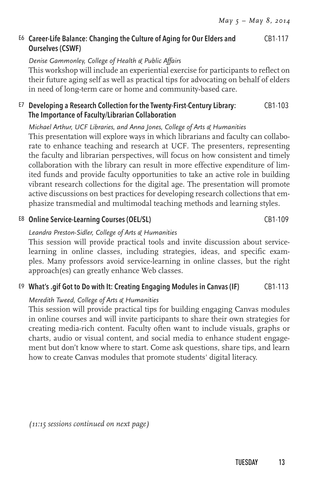#### E6 Career-Life Balance: Changing the Culture of Aging for Our Elders and Ourselves (CSWF) CB1-117

#### *Denise Gammonley, College of Health & Public Affairs*

This workshop will include an experiential exercise for participants to reflect on their future aging self as well as practical tips for advocating on behalf of elders in need of long-term care or home and community-based care.

#### E7 Developing a Research Collection for the Twenty-First-Century Library: The Importance of Faculty/Librarian Collaboration CB1-103

#### *Michael Arthur, UCF Libraries, and Anna Jones, College of Arts & Humanities*

This presentation will explore ways in which librarians and faculty can collaborate to enhance teaching and research at UCF. The presenters, representing the faculty and librarian perspectives, will focus on how consistent and timely collaboration with the library can result in more effective expenditure of limited funds and provide faculty opportunities to take an active role in building vibrant research collections for the digital age. The presentation will promote active discussions on best practices for developing research collections that emphasize transmedial and multimodal teaching methods and learning styles.

#### E8 Online Service-Learning Courses (OEL/SL) CB1-109

#### *Leandra Preston-Sidler, College of Arts & Humanities*

This session will provide practical tools and invite discussion about servicelearning in online classes, including strategies, ideas, and specific examples. Many professors avoid service-learning in online classes, but the right approach(es) can greatly enhance Web classes.

#### E9 What's .gif Got to Do with It: Creating Engaging Modules in Canvas (IF) CB1-113

#### *Meredith Tweed, College of Arts & Humanities*

This session will provide practical tips for building engaging Canvas modules in online courses and will invite participants to share their own strategies for creating media-rich content. Faculty often want to include visuals, graphs or charts, audio or visual content, and social media to enhance student engagement but don't know where to start. Come ask questions, share tips, and learn how to create Canvas modules that promote students' digital literacy.

*(11:15 sessions continued on next page)*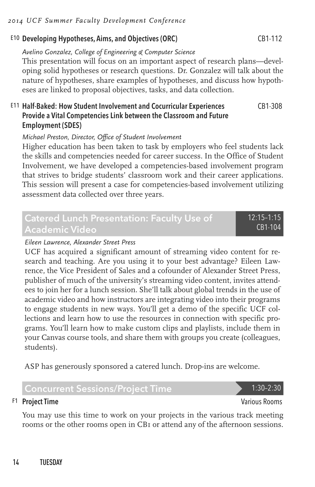#### *2014 UCF Summer Faculty Development Conference*

#### E10 Developing Hypotheses, Aims, and Objectives (ORC) CB1-112

*Avelino Gonzalez, College of Engineering & Computer Science* This presentation will focus on an important aspect of research plans—developing solid hypotheses or research questions. Dr. Gonzalez will talk about the

nature of hypotheses, share examples of hypotheses, and discuss how hypotheses are linked to proposal objectives, tasks, and data collection.

#### E11 Half-Baked: How Student Involvement and Cocurricular Experiences Provide a Vital Competencies Link between the Classroom and Future Employment (SDES) CB1-308

#### *Michael Preston, Director, Office of Student Involvement*

Higher education has been taken to task by employers who feel students lack the skills and competencies needed for career success. In the Office of Student Involvement, we have developed a competencies-based involvement program that strives to bridge students' classroom work and their career applications. This session will present a case for competencies-based involvement utilizing assessment data collected over three years.

## Catered Lunch Presentation: Faculty Use of Academic Video

#### *Eileen Lawrence, Alexander Street Press*

UCF has acquired a significant amount of streaming video content for research and teaching. Are you using it to your best advantage? Eileen Lawrence, the Vice President of Sales and a cofounder of Alexander Street Press, publisher of much of the university's streaming video content, invites attendees to join her for a lunch session. She'll talk about global trends in the use of academic video and how instructors are integrating video into their programs to engage students in new ways. You'll get a demo of the specific UCF collections and learn how to use the resources in connection with specific programs. You'll learn how to make custom clips and playlists, include them in your Canvas course tools, and share them with groups you create (colleagues, students).

ASP has generously sponsored a catered lunch. Drop-ins are welcome.

#### Concurrent Sessions/Project Time 1:30-2:30

#### F1 Project Time Various Rooms

You may use this time to work on your projects in the various track meeting rooms or the other rooms open in CB1 or attend any of the afternoon sessions.

12:15–1:15 CB1-104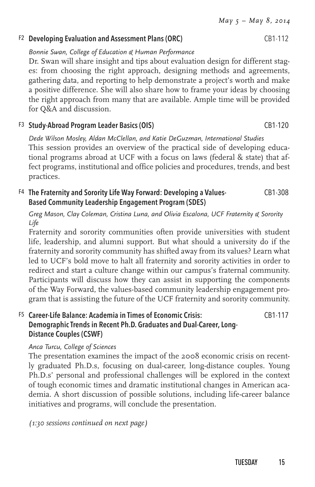# F<sub>2</sub> Developing Evaluation and Assessment Plans (ORC) CB1-112

*Bonnie Swan, College of Education & Human Performance*

Dr. Swan will share insight and tips about evaluation design for different stages: from choosing the right approach, designing methods and agreements, gathering data, and reporting to help demonstrate a project's worth and make a positive difference. She will also share how to frame your ideas by choosing the right approach from many that are available. Ample time will be provided for Q&A and discussion.

#### F3 Study-Abroad Program Leader Basics (OIS) CB1-120

*Dede Wilson Mosley, Aldan McClellan, and Katie DeGuzman, International Studies* This session provides an overview of the practical side of developing educational programs abroad at UCF with a focus on laws (federal & state) that affect programs, institutional and office policies and procedures, trends, and best practices.

#### F4 The Fraternity and Sorority Life Way Forward: Developing a Values-Based Community Leadership Engagement Program (SDES) CB1-308

*Greg Mason, Clay Coleman, Cristina Luna, and Olivia Escalona, UCF Fraternity & Sorority Life*

Fraternity and sorority communities often provide universities with student life, leadership, and alumni support. But what should a university do if the fraternity and sorority community has shifted away from its values? Learn what led to UCF's bold move to halt all fraternity and sorority activities in order to redirect and start a culture change within our campus's fraternal community. Participants will discuss how they can assist in supporting the components of the Way Forward, the values-based community leadership engagement program that is assisting the future of the UCF fraternity and sorority community.

#### F5 Career-Life Balance: Academia in Times of Economic Crisis: Demographic Trends in Recent Ph.D. Graduates and Dual-Career, Long-Distance Couples (CSWF) CB1-117

#### *Anca Turcu, College of Sciences*

The presentation examines the impact of the 2008 economic crisis on recently graduated Ph.D.s, focusing on dual-career, long-distance couples. Young Ph.D.s' personal and professional challenges will be explored in the context of tough economic times and dramatic institutional changes in American academia. A short discussion of possible solutions, including life-career balance initiatives and programs, will conclude the presentation.

*(1:30 sessions continued on next page)*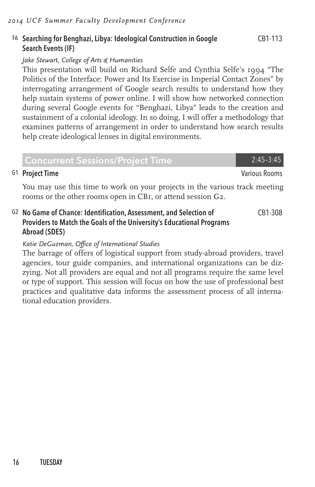#### F6 Searching for Benghazi, Libya: Ideological Construction in Google Search Events (IF)

#### *Jake Stewart, College of Arts & Humanities*

This presentation will build on Richard Selfe and Cynthia Selfe's 1994 "The Politics of the Interface: Power and Its Exercise in Imperial Contact Zones" by interrogating arrangement of Google search results to understand how they help sustain systems of power online. I will show how networked connection during several Google events for "Benghazi, Libya" leads to the creation and sustainment of a colonial ideology. In so doing, I will offer a methodology that examines patterns of arrangement in order to understand how search results help create ideological lenses in digital environments.

| <b>Concurrent Sessions/Project Time</b> | 2:45-3:45 |
|-----------------------------------------|-----------|
|-----------------------------------------|-----------|

#### G1 Project Time Various Rooms

You may use this time to work on your projects in the various track meeting rooms or the other rooms open in CB1, or attend session G2.

G2 No Game of Chance: Identification, Assessment, and Selection of Providers to Match the Goals of the University's Educational Programs Abroad (SDES) CB1-308

#### *Katie DeGuzman, Office of International Studies*

The barrage of offers of logistical support from study-abroad providers, travel agencies, tour guide companies, and international organizations can be dizzying. Not all providers are equal and not all programs require the same level or type of support. This session will focus on how the use of professional best practices and qualitative data informs the assessment process of all international education providers.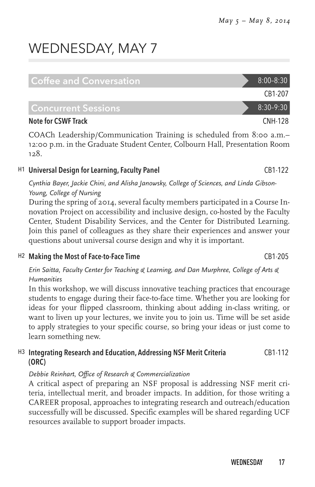# WEDNESDAY, MAY 7

| Coffee and Conversation    |  | $8:00 - 8:30$ |
|----------------------------|--|---------------|
|                            |  | CB1-207       |
| l Concurrent Sessions      |  | $8:30-9:30$   |
| <b>Note for CSWF Track</b> |  | CNH-128       |

COACh Leadership/Communication Training is scheduled from 8:00 a.m.– 12:00 p.m. in the Graduate Student Center, Colbourn Hall, Presentation Room 128.

#### H1 Universal Design for Learning, Faculty Panel CB1-122

*Cynthia Bayer, Jackie Chini, and Alisha Janowsky, College of Sciences, and Linda Gibson-Young, College of Nursing*

During the spring of 2014, several faculty members participated in a Course Innovation Project on accessibility and inclusive design, co-hosted by the Faculty Center, Student Disability Services, and the Center for Distributed Learning. Join this panel of colleagues as they share their experiences and answer your questions about universal course design and why it is important.

#### H<sub>2</sub> Making the Most of Face-to-Face Time CB1-205

*Erin Saitta, Faculty Center for Teaching & Learning, and Dan Murphree, College of Arts & Humanities*

In this workshop, we will discuss innovative teaching practices that encourage students to engage during their face-to-face time. Whether you are looking for ideas for your flipped classroom, thinking about adding in-class writing, or want to liven up your lectures, we invite you to join us. Time will be set aside to apply strategies to your specific course, so bring your ideas or just come to learn something new.

#### H3 Integrating Research and Education, Addressing NSF Merit Criteria (ORC) CB1-112

#### *Debbie Reinhart, Office of Research & Commercialization*

A critical aspect of preparing an NSF proposal is addressing NSF merit criteria, intellectual merit, and broader impacts. In addition, for those writing a CAREER proposal, approaches to integrating research and outreach/education successfully will be discussed. Specific examples will be shared regarding UCF resources available to support broader impacts.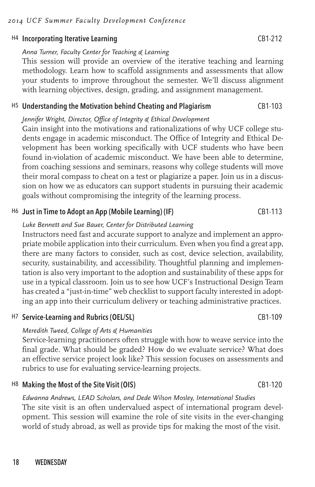#### *2014 UCF Summer Faculty Development Conference*

#### H4 Incorporating Iterative Learning CB1-212

#### *Anna Turner, Faculty Center for Teaching & Learning*

This session will provide an overview of the iterative teaching and learning methodology. Learn how to scaffold assignments and assessments that allow your students to improve throughout the semester. We'll discuss alignment with learning objectives, design, grading, and assignment management.

#### H5 Understanding the Motivation behind Cheating and Plagiarism CB1-103

#### *Jennifer Wright, Director, Office of Integrity & Ethical Development*

Gain insight into the motivations and rationalizations of why UCF college students engage in academic misconduct. The Office of Integrity and Ethical Development has been working specifically with UCF students who have been found in-violation of academic misconduct. We have been able to determine, from coaching sessions and seminars, reasons why college students will move their moral compass to cheat on a test or plagiarize a paper. Join us in a discussion on how we as educators can support students in pursuing their academic goals without compromising the integrity of the learning process.

#### H6 Just in Time to Adopt an App (Mobile Learning) (IF) CB1-113

#### *Luke Bennett and Sue Bauer, Center for Distributed Learning*

Instructors need fast and accurate support to analyze and implement an appropriate mobile application into their curriculum. Even when you find a great app, there are many factors to consider, such as cost, device selection, availability, security, sustainability, and accessibility. Thoughtful planning and implementation is also very important to the adoption and sustainability of these apps for use in a typical classroom. Join us to see how UCF's Instructional Design Team has created a "just-in-time" web checklist to support faculty interested in adopting an app into their curriculum delivery or teaching administrative practices.

#### H7 Service-Learning and Rubrics (OEL/SL) CB1-109

#### *Meredith Tweed, College of Arts & Humanities*

Service-learning practitioners often struggle with how to weave service into the final grade. What should be graded? How do we evaluate service? What does an effective service project look like? This session focuses on assessments and rubrics to use for evaluating service-learning projects.

#### H8 Making the Most of the Site Visit (OIS) CB1-120

#### *Edwanna Andrews, LEAD Scholars, and Dede Wilson Mosley, International Studies* The site visit is an often undervalued aspect of international program development. This session will examine the role of site visits in the ever-changing world of study abroad, as well as provide tips for making the most of the visit.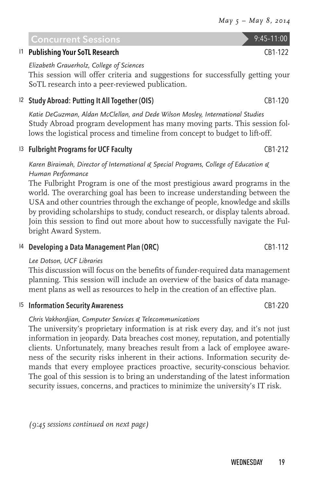#### Concurrent Sessions 9:45-11:00 I1 Publishing Your SoTL Research CB1-122

*Elizabeth Grauerholz, College of Sciences* 

This session will offer criteria and suggestions for successfully getting your SoTL research into a peer-reviewed publication.

#### <sup>12</sup> Study Abroad: Putting It All Together (OIS) CB1-120

*Katie DeGuzman, Aldan McClellan, and Dede Wilson Mosley, International Studies* Study Abroad program development has many moving parts. This session follows the logistical process and timeline from concept to budget to lift-off.

#### I3 Fulbright Programs for UCF Faculty CB1-212

*Karen Biraimah, Director of International & Special Programs, College of Education & Human Performance*

The Fulbright Program is one of the most prestigious award programs in the world. The overarching goal has been to increase understanding between the USA and other countries through the exchange of people, knowledge and skills by providing scholarships to study, conduct research, or display talents abroad. Join this session to find out more about how to successfully navigate the Fulbright Award System.

#### <sup>14</sup> Developing a Data Management Plan (ORC) CB1-112

#### *Lee Dotson, UCF Libraries*

This discussion will focus on the benefits of funder-required data management planning. This session will include an overview of the basics of data management plans as well as resources to help in the creation of an effective plan.

#### I5 Information Security Awareness CB1-220

#### *Chris Vakhordjian, Computer Services & Telecommunications*

The university's proprietary information is at risk every day, and it's not just information in jeopardy. Data breaches cost money, reputation, and potentially clients. Unfortunately, many breaches result from a lack of employee awareness of the security risks inherent in their actions. Information security demands that every employee practices proactive, security-conscious behavior. The goal of this session is to bring an understanding of the latest information security issues, concerns, and practices to minimize the university's IT risk.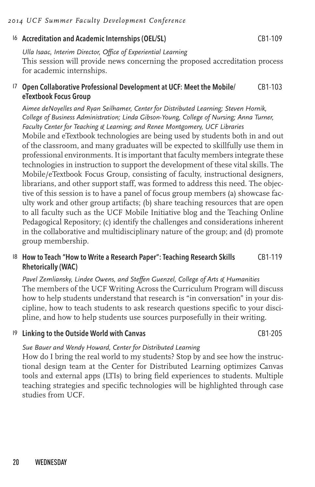#### I6 Accreditation and Academic Internships (OEL/SL) CB1-109

*Ulla Isaac, Interim Director, Office of Experiential Learning* This session will provide news concerning the proposed accreditation process for academic internships.

#### I7 Open Collaborative Professional Development at UCF: Meet the Mobile/ eTextbook Focus Group CB1-103

*Aimee deNoyelles and Ryan Seilhamer, Center for Distributed Learning; Steven Hornik, College of Business Administration; Linda Gibson-Young, College of Nursing; Anna Turner, Faculty Center for Teaching & Learning; and Renee Montgomery, UCF Libraries* Mobile and eTextbook technologies are being used by students both in and out of the classroom, and many graduates will be expected to skillfully use them in professional environments. It is important that faculty members integrate these technologies in instruction to support the development of these vital skills. The Mobile/eTextbook Focus Group, consisting of faculty, instructional designers, librarians, and other support staff, was formed to address this need. The objective of this session is to have a panel of focus group members (a) showcase faculty work and other group artifacts; (b) share teaching resources that are open to all faculty such as the UCF Mobile Initiative blog and the Teaching Online Pedagogical Repository; (c) identify the challenges and considerations inherent in the collaborative and multidisciplinary nature of the group; and (d) promote group membership.

#### I8 How to Teach "How to Write a Research Paper": Teaching Research Skills Rhetorically (WAC) CB1-119

*Pavel Zemliansky, Lindee Owens, and Steffen Guenzel, College of Arts & Humanities* The members of the UCF Writing Across the Curriculum Program will discuss how to help students understand that research is "in conversation" in your discipline, how to teach students to ask research questions specific to your discipline, and how to help students use sources purposefully in their writing.

#### I9 Linking to the Outside World with Canvas CB1-205

#### *Sue Bauer and Wendy Howard, Center for Distributed Learning*

How do I bring the real world to my students? Stop by and see how the instructional design team at the Center for Distributed Learning optimizes Canvas tools and external apps (LTIs) to bring field experiences to students. Multiple teaching strategies and specific technologies will be highlighted through case studies from UCF.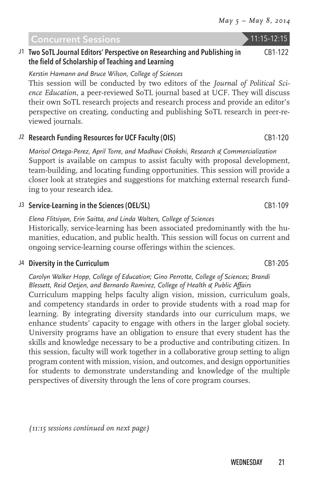#### Concurrent Sessions 11:15-12:15

#### J1 Two SoTL Journal Editors' Perspective on Researching and Publishing in the field of Scholarship of Teaching and Learning

*Kerstin Hamann and Bruce Wilson, College of Sciences*

This session will be conducted by two editors of the *Journal of Political Science Education*, a peer-reviewed SoTL journal based at UCF. They will discuss their own SoTL research projects and research process and provide an editor's perspective on creating, conducting and publishing SoTL research in peer-reviewed journals.

#### J<sub>2</sub> Research Funding Resources for UCF Faculty (OIS) CB1-120

*Marisol Ortega-Perez, April Torre, and Madhavi Chokshi, Research & Commercialization* Support is available on campus to assist faculty with proposal development, team-building, and locating funding opportunities. This session will provide a closer look at strategies and suggestions for matching external research funding to your research idea.

## J3 Service-Learning in the Sciences (OEL/SL) CB1-109

*Elena Flitsiyan, Erin Saitta, and Linda Walters, College of Sciences* Historically, service-learning has been associated predominantly with the humanities, education, and public health. This session will focus on current and ongoing service-learning course offerings within the sciences.

## J4 Diversity in the Curriculum CB1-205

## *Carolyn Walker Hopp, College of Education; Gino Perrotte, College of Sciences; Brandi Blessett, Reid Oetjen, and Bernardo Ramirez, College of Health & Public Affairs*

Curriculum mapping helps faculty align vision, mission, curriculum goals, and competency standards in order to provide students with a road map for learning. By integrating diversity standards into our curriculum maps, we enhance students' capacity to engage with others in the larger global society. University programs have an obligation to ensure that every student has the skills and knowledge necessary to be a productive and contributing citizen. In this session, faculty will work together in a collaborative group setting to align program content with mission, vision, and outcomes, and design opportunities for students to demonstrate understanding and knowledge of the multiple perspectives of diversity through the lens of core program courses.

*(11:15 sessions continued on next page)*

CB1-122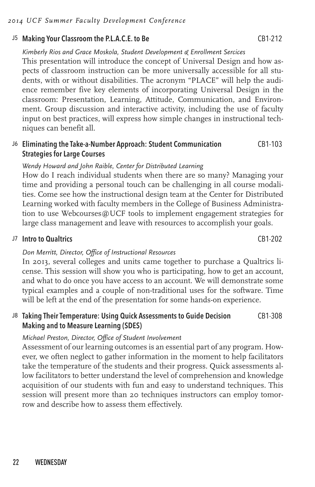#### J5 Making Your Classroom the P.L.A.C.E. to Be CB1-212

*Kimberly Rios and Grace Moskola, Student Development & Enrollment Sercices*

This presentation will introduce the concept of Universal Design and how aspects of classroom instruction can be more universally accessible for all students, with or without disabilities. The acronym "PLACE" will help the audience remember five key elements of incorporating Universal Design in the classroom: Presentation, Learning, Attitude, Communication, and Environment. Group discussion and interactive activity, including the use of faculty input on best practices, will express how simple changes in instructional techniques can benefit all.

#### J6 Eliminating the Take-a-Number Approach: Student Communication Strategies for Large Courses CB1-103

#### *Wendy Howard and John Raible, Center for Distributed Learning*

How do I reach individual students when there are so many? Managing your time and providing a personal touch can be challenging in all course modalities. Come see how the instructional design team at the Center for Distributed Learning worked with faculty members in the College of Business Administration to use Webcourses@UCF tools to implement engagement strategies for large class management and leave with resources to accomplish your goals.

#### J7 Intro to Qualtrics CB1-202

#### *Don Merritt, Director, Office of Instructional Resources*

In 2013, several colleges and units came together to purchase a Qualtrics license. This session will show you who is participating, how to get an account, and what to do once you have access to an account. We will demonstrate some typical examples and a couple of non-traditional uses for the software. Time will be left at the end of the presentation for some hands-on experience.

#### J8 Taking Their Temperature: Using Quick Assessments to Guide Decision Making and to Measure Learning (SDES) CB1-308

#### *Michael Preston, Director, Office of Student Involvement*

Assessment of our learning outcomes is an essential part of any program. However, we often neglect to gather information in the moment to help facilitators take the temperature of the students and their progress. Quick assessments allow facilitators to better understand the level of comprehension and knowledge acquisition of our students with fun and easy to understand techniques. This session will present more than 20 techniques instructors can employ tomorrow and describe how to assess them effectively.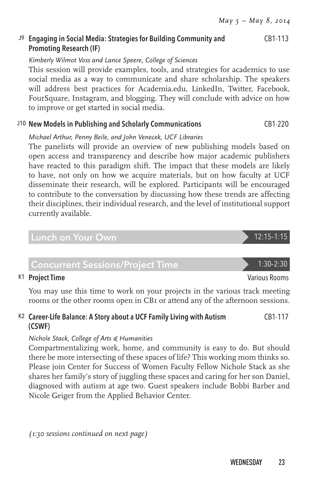#### J9 Engaging in Social Media: Strategies for Building Community and Promoting Research (IF) CB1-113

#### *Kimberly Wilmot Voss and Lance Speere, College of Sciences*

This session will provide examples, tools, and strategies for academics to use social media as a way to communicate and share scholarship. The speakers will address best practices for Academia.edu, LinkedIn, Twitter, Facebook, FourSquare, Instagram, and blogging. They will conclude with advice on how to improve or get started in social media.

#### J10 New Models in Publishing and Scholarly Communications CB1-220

*Michael Arthur, Penny Beile, and John Venecek, UCF Libraries*

The panelists will provide an overview of new publishing models based on open access and transparency and describe how major academic publishers have reacted to this paradigm shift. The impact that these models are likely to have, not only on how we acquire materials, but on how faculty at UCF disseminate their research, will be explored. Participants will be encouraged to contribute to the conversation by discussing how these trends are affecting their disciplines, their individual research, and the level of institutional support currently available.

#### Lunch on Your Own 12:15–1:15

## Concurrent Sessions/Project Time 1:30-2:30

#### K1 Project Time Various Rooms (Various Rooms) and the Various Rooms (Various Rooms Various Rooms)

You may use this time to work on your projects in the various track meeting rooms or the other rooms open in CB1 or attend any of the afternoon sessions.

#### K2 Career-Life Balance: A Story about a UCF Family Living with Autism (CSWF) CB1-117

#### *Nichole Stack, College of Arts & Humanities*

Compartmentalizing work, home, and community is easy to do. But should there be more intersecting of these spaces of life? This working mom thinks so. Please join Center for Success of Women Faculty Fellow Nichole Stack as she shares her family's story of juggling these spaces and caring for her son Daniel, diagnosed with autism at age two. Guest speakers include Bobbi Barber and Nicole Geiger from the Applied Behavior Center.

*(1:30 sessions continued on next page)*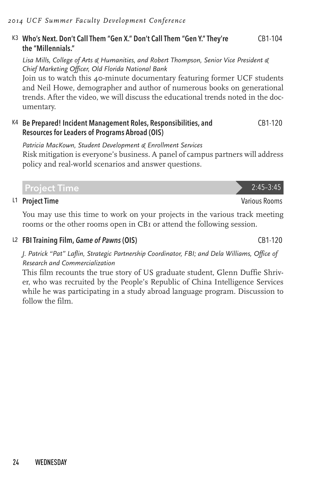#### K3 Who's Next. Don't Call Them "Gen X." Don't Call Them "Gen Y." They're the "Millennials." CB1-104

*Lisa Mills, College of Arts & Humanities, and Robert Thompson, Senior Vice President & Chief Marketing Officer, Old Florida National Bank*

Join us to watch this 40-minute documentary featuring former UCF students and Neil Howe, demographer and author of numerous books on generational trends. After the video, we will discuss the educational trends noted in the documentary.

#### K4 Be Prepared! Incident Management Roles, Responsibilities, and Resources for Leaders of Programs Abroad (OIS) CB1-120

*Patricia MacKown, Student Development & Enrollment Services* Risk mitigation is everyone's business. A panel of campus partners will address policy and real-world scenarios and answer questions.

L1 Project Time **Various Rooms** 2014 **Various Rooms** 

You may use this time to work on your projects in the various track meeting rooms or the other rooms open in CB1 or attend the following session.

Project Time 2:45–3:45

L2 FBI Training Film, *Game of Pawns* (OIS) CB1-120

*J. Patrick "Pat" Laflin, Strategic Partnership Coordinator, FBI; and Dela Williams, Office of Research and Commercialization*

This film recounts the true story of US graduate student, Glenn Duffie Shriver, who was recruited by the People's Republic of China Intelligence Services while he was participating in a study abroad language program. Discussion to follow the film.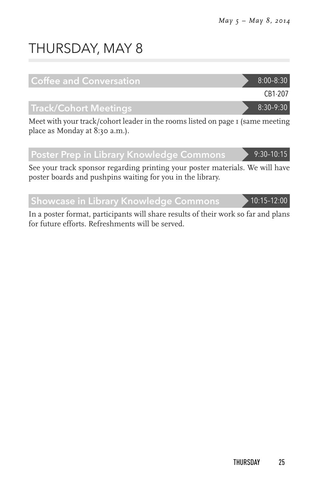# THURSDAY, MAY 8

| <b>Coffee and Conversation</b>                                                 | $8:00 - 8:30$ |
|--------------------------------------------------------------------------------|---------------|
|                                                                                | CB1-207       |
| <b>Track/Cohort Meetings</b>                                                   | 8:30-9:30     |
| Meet with your track/cohort leader in the rooms listed on page I (same meeting |               |

place as Monday at 8:30 a.m.).

## Poster Prep in Library Knowledge Commons 9:30-10:15

See your track sponsor regarding printing your poster materials. We will have poster boards and pushpins waiting for you in the library.

Showcase in Library Knowledge Commons 10:15-12:00

In a poster format, participants will share results of their work so far and plans for future efforts. Refreshments will be served.